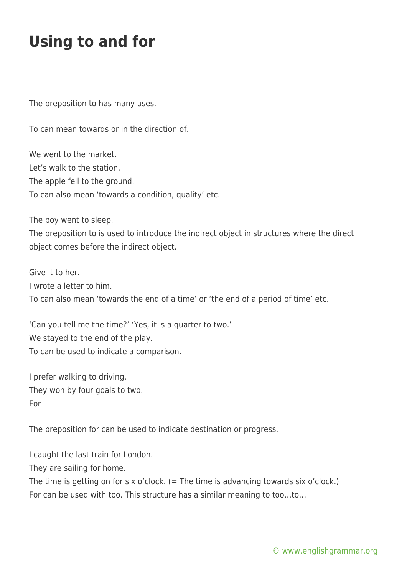## **Using to and for**

The preposition to has many uses.

To can mean towards or in the direction of.

We went to the market. Let's walk to the station. The apple fell to the ground. To can also mean 'towards a condition, quality' etc.

The boy went to sleep.

The preposition to is used to introduce the indirect object in structures where the direct object comes before the indirect object.

Give it to her. I wrote a letter to him. To can also mean 'towards the end of a time' or 'the end of a period of time' etc.

'Can you tell me the time?' 'Yes, it is a quarter to two.' We stayed to the end of the play. To can be used to indicate a comparison.

I prefer walking to driving. They won by four goals to two. For

The preposition for can be used to indicate destination or progress.

I caught the last train for London.

They are sailing for home.

The time is getting on for six o'clock. (= The time is advancing towards six o'clock.) For can be used with too. This structure has a similar meaning to too…to…